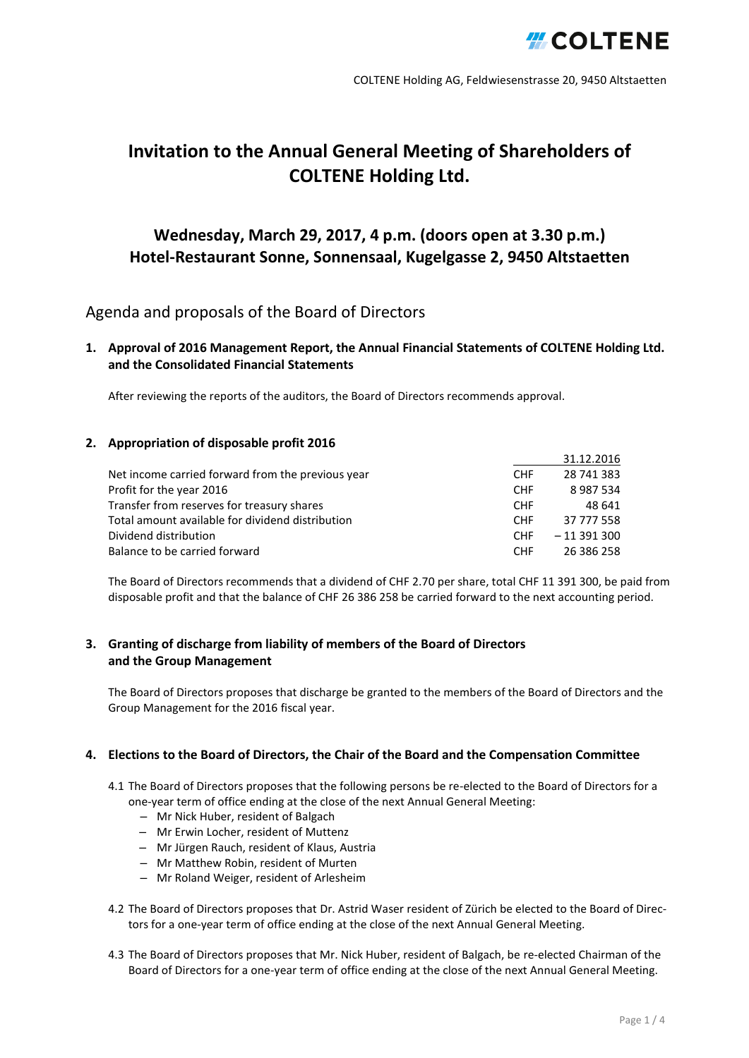

# **Invitation to the Annual General Meeting of Shareholders of COLTENE Holding Ltd.**

## **Wednesday, March 29, 2017, 4 p.m. (doors open at 3.30 p.m.) Hotel-Restaurant Sonne, Sonnensaal, Kugelgasse 2, 9450 Altstaetten**

## Agenda and proposals of the Board of Directors

**1. Approval of 2016 Management Report, the Annual Financial Statements of COLTENE Holding Ltd. and the Consolidated Financial Statements**

After reviewing the reports of the auditors, the Board of Directors recommends approval.

#### **2. Appropriation of disposable profit 2016**

|                                                   |            | 31.12.2016  |
|---------------------------------------------------|------------|-------------|
|                                                   |            |             |
| Net income carried forward from the previous year | <b>CHF</b> | 28 741 383  |
| Profit for the year 2016                          | <b>CHF</b> | 8987534     |
| Transfer from reserves for treasury shares        | <b>CHF</b> | 48 641      |
| Total amount available for dividend distribution  | <b>CHF</b> | 37 777 558  |
| Dividend distribution                             | <b>CHF</b> | $-11391300$ |
| Balance to be carried forward                     | <b>CHF</b> | 26 386 258  |

The Board of Directors recommends that a dividend of CHF 2.70 per share, total CHF 11 391 300, be paid from disposable profit and that the balance of CHF 26 386 258 be carried forward to the next accounting period.

#### **3. Granting of discharge from liability of members of the Board of Directors and the Group Management**

The Board of Directors proposes that discharge be granted to the members of the Board of Directors and the Group Management for the 2016 fiscal year.

#### **4. Elections to the Board of Directors, the Chair of the Board and the Compensation Committee**

- 4.1 The Board of Directors proposes that the following persons be re-elected to the Board of Directors for a one-year term of office ending at the close of the next Annual General Meeting:
	- Mr Nick Huber, resident of Balgach
	- Mr Erwin Locher, resident of Muttenz
	- Mr Jürgen Rauch, resident of Klaus, Austria
	- Mr Matthew Robin, resident of Murten
	- Mr Roland Weiger, resident of Arlesheim
- 4.2 The Board of Directors proposes that Dr. Astrid Waser resident of Zürich be elected to the Board of Directors for a one-year term of office ending at the close of the next Annual General Meeting.
- 4.3 The Board of Directors proposes that Mr. Nick Huber, resident of Balgach, be re-elected Chairman of the Board of Directors for a one-year term of office ending at the close of the next Annual General Meeting.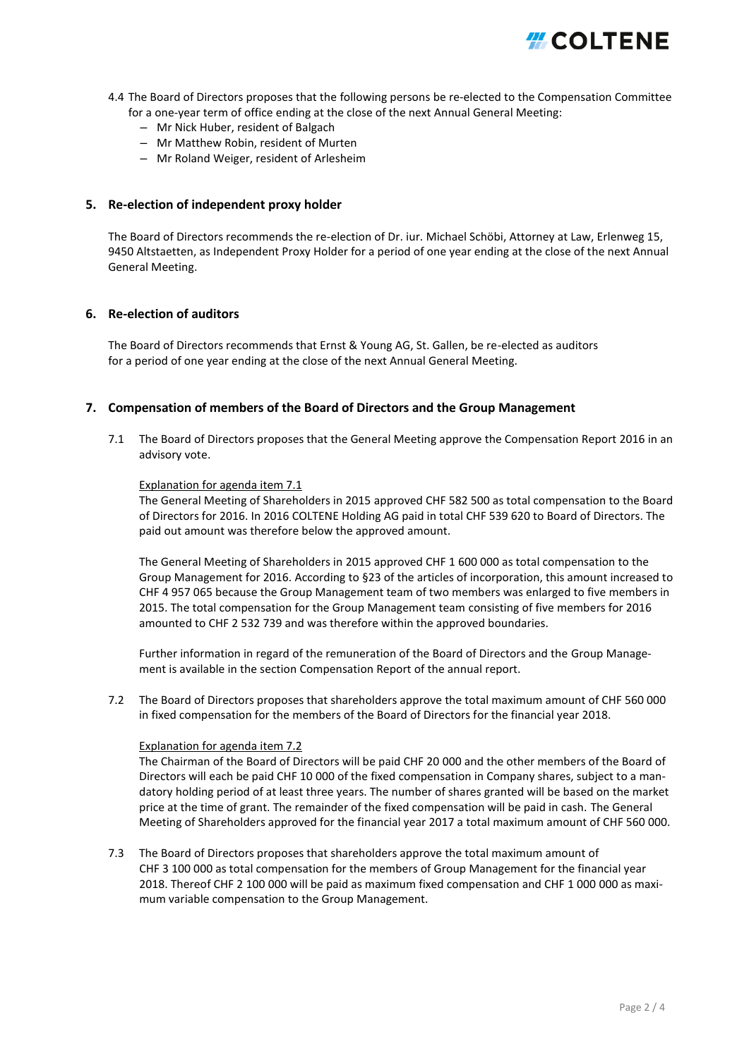

- 4.4 The Board of Directors proposes that the following persons be re-elected to the Compensation Committee for a one-year term of office ending at the close of the next Annual General Meeting:
	- Mr Nick Huber, resident of Balgach
	- Mr Matthew Robin, resident of Murten
	- Mr Roland Weiger, resident of Arlesheim

#### **5. Re-election of independent proxy holder**

The Board of Directors recommends the re-election of Dr. iur. Michael Schöbi, Attorney at Law, Erlenweg 15, 9450 Altstaetten, as Independent Proxy Holder for a period of one year ending at the close of the next Annual General Meeting.

#### **6. Re-election of auditors**

The Board of Directors recommends that Ernst & Young AG, St. Gallen, be re-elected as auditors for a period of one year ending at the close of the next Annual General Meeting.

#### **7. Compensation of members of the Board of Directors and the Group Management**

7.1 The Board of Directors proposes that the General Meeting approve the Compensation Report 2016 in an advisory vote.

#### Explanation for agenda item 7.1

The General Meeting of Shareholders in 2015 approved CHF 582 500 as total compensation to the Board of Directors for 2016. In 2016 COLTENE Holding AG paid in total CHF 539 620 to Board of Directors. The paid out amount was therefore below the approved amount.

The General Meeting of Shareholders in 2015 approved CHF 1 600 000 as total compensation to the Group Management for 2016. According to §23 of the articles of incorporation, this amount increased to CHF 4 957 065 because the Group Management team of two members was enlarged to five members in 2015. The total compensation for the Group Management team consisting of five members for 2016 amounted to CHF 2 532 739 and was therefore within the approved boundaries.

Further information in regard of the remuneration of the Board of Directors and the Group Management is available in the section Compensation Report of the annual report.

7.2 The Board of Directors proposes that shareholders approve the total maximum amount of CHF 560 000 in fixed compensation for the members of the Board of Directors for the financial year 2018.

#### Explanation for agenda item 7.2

The Chairman of the Board of Directors will be paid CHF 20 000 and the other members of the Board of Directors will each be paid CHF 10 000 of the fixed compensation in Company shares, subject to a mandatory holding period of at least three years. The number of shares granted will be based on the market price at the time of grant. The remainder of the fixed compensation will be paid in cash. The General Meeting of Shareholders approved for the financial year 2017 a total maximum amount of CHF 560 000.

7.3 The Board of Directors proposes that shareholders approve the total maximum amount of CHF 3 100 000 as total compensation for the members of Group Management for the financial year 2018. Thereof CHF 2 100 000 will be paid as maximum fixed compensation and CHF 1 000 000 as maximum variable compensation to the Group Management.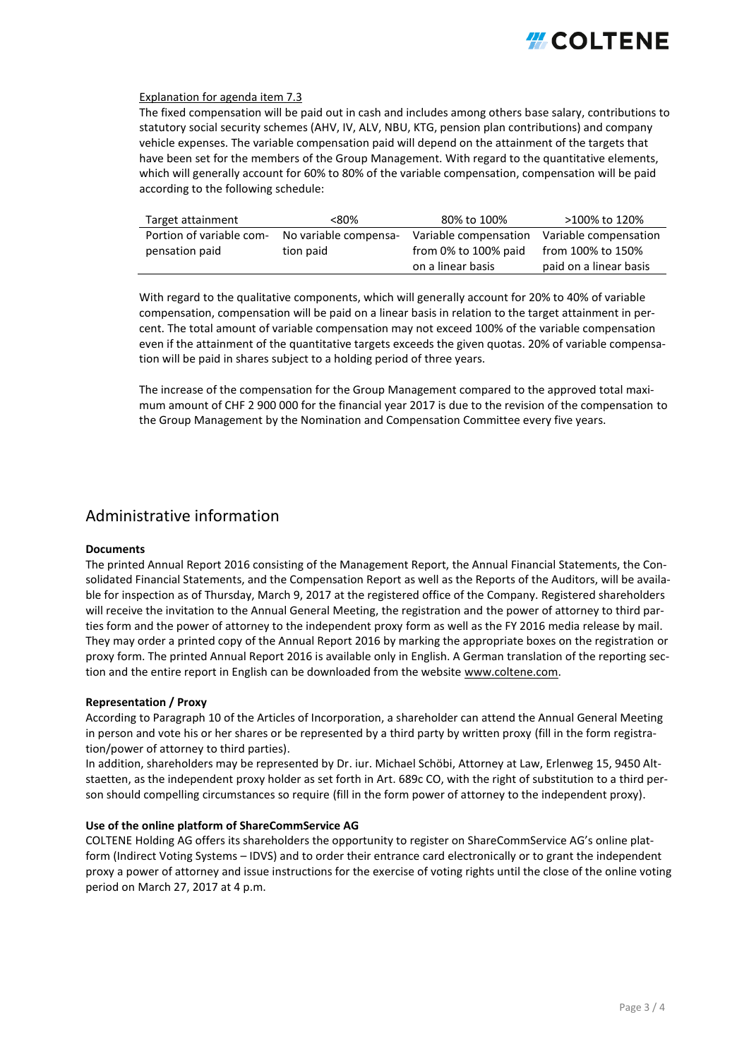

#### Explanation for agenda item 7.3

The fixed compensation will be paid out in cash and includes among others base salary, contributions to statutory social security schemes (AHV, IV, ALV, NBU, KTG, pension plan contributions) and company vehicle expenses. The variable compensation paid will depend on the attainment of the targets that have been set for the members of the Group Management. With regard to the quantitative elements, which will generally account for 60% to 80% of the variable compensation, compensation will be paid according to the following schedule:

| Target attainment        | <80%                  | 80% to 100%           | >100% to 120%          |
|--------------------------|-----------------------|-----------------------|------------------------|
| Portion of variable com- | No variable compensa- | Variable compensation | Variable compensation  |
| pensation paid           | tion paid             | from 0% to 100% paid  | from 100% to 150%      |
|                          |                       | on a linear basis     | paid on a linear basis |

With regard to the qualitative components, which will generally account for 20% to 40% of variable compensation, compensation will be paid on a linear basis in relation to the target attainment in percent. The total amount of variable compensation may not exceed 100% of the variable compensation even if the attainment of the quantitative targets exceeds the given quotas. 20% of variable compensation will be paid in shares subject to a holding period of three years.

The increase of the compensation for the Group Management compared to the approved total maximum amount of CHF 2 900 000 for the financial year 2017 is due to the revision of the compensation to the Group Management by the Nomination and Compensation Committee every five years.

### Administrative information

#### **Documents**

The printed Annual Report 2016 consisting of the Management Report, the Annual Financial Statements, the Consolidated Financial Statements, and the Compensation Report as well as the Reports of the Auditors, will be available for inspection as of Thursday, March 9, 2017 at the registered office of the Company. Registered shareholders will receive the invitation to the Annual General Meeting, the registration and the power of attorney to third parties form and the power of attorney to the independent proxy form as well as the FY 2016 media release by mail. They may order a printed copy of the Annual Report 2016 by marking the appropriate boxes on the registration or proxy form. The printed Annual Report 2016 is available only in English. A German translation of the reporting section and the entire report in English can be downloaded from the website [www.coltene.com.](https://www.coltene.com/de/investoren-medien/finanzpublikationen/)

#### **Representation / Proxy**

According to Paragraph 10 of the Articles of Incorporation, a shareholder can attend the Annual General Meeting in person and vote his or her shares or be represented by a third party by written proxy (fill in the form registration/power of attorney to third parties).

In addition, shareholders may be represented by Dr. iur. Michael Schöbi, Attorney at Law, Erlenweg 15, 9450 Altstaetten, as the independent proxy holder as set forth in Art. 689c CO, with the right of substitution to a third person should compelling circumstances so require (fill in the form power of attorney to the independent proxy).

#### **Use of the online platform of ShareCommService AG**

COLTENE Holding AG offers its shareholders the opportunity to register on ShareCommService AG's online platform (Indirect Voting Systems – IDVS) and to order their entrance card electronically or to grant the independent proxy a power of attorney and issue instructions for the exercise of voting rights until the close of the online voting period on March 27, 2017 at 4 p.m.